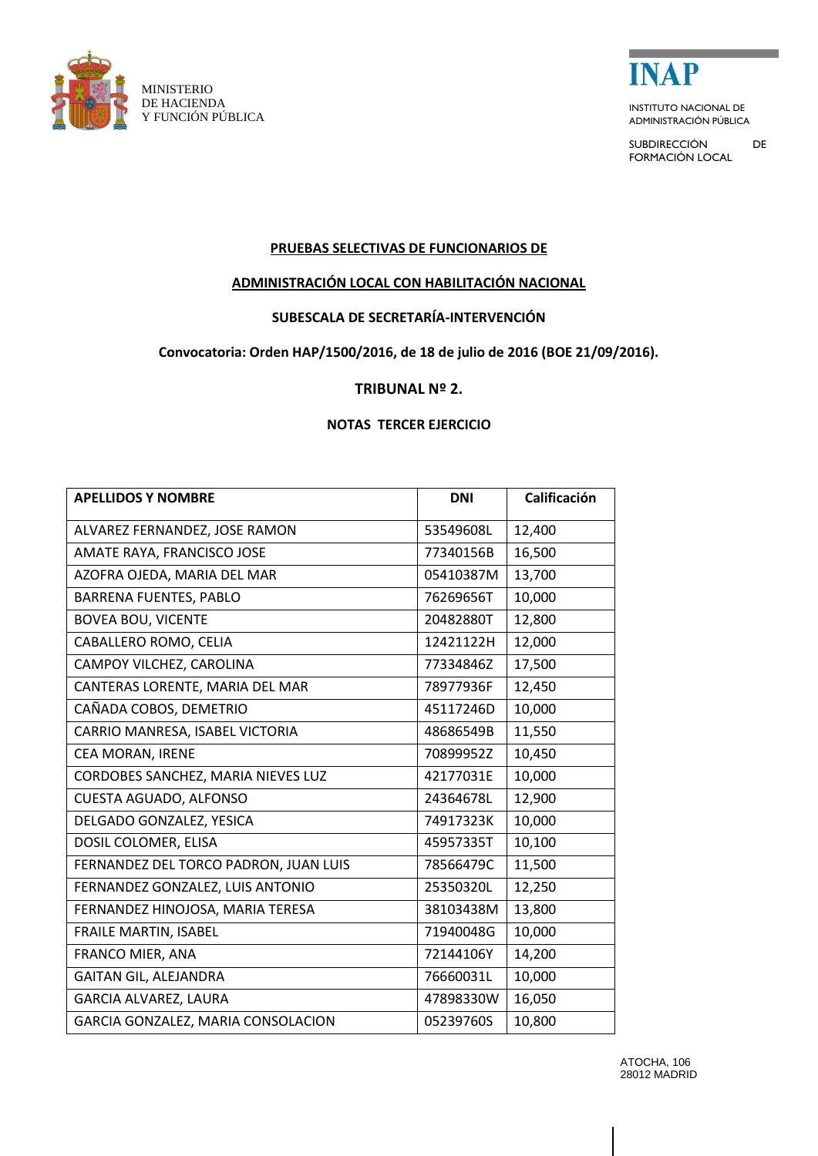



ADMINISTRACIÓN PÚBLICA

SUBDIRECCIÓN DE FORMACIÓN LOCAL

## **PRUEBAS SELECTIVAS DE FUNCIONARIOS DE**

# **ADMINISTRACIÓN LOCAL CON HABILITACIÓN NACIONAL**

## **SUBESCALA DE SECRETARÍA-INTERVENCIÓN**

#### **Convocatoria: Orden HAP/1500/2016, de 18 de julio de 2016 (BOE 21/09/2016).**

#### **TRIBUNAL Nº 2.**

#### **NOTAS TERCER EJERCICIO**

| <b>APELLIDOS Y NOMBRE</b>             | <b>DNI</b> | Calificación |
|---------------------------------------|------------|--------------|
| ALVAREZ FERNANDEZ, JOSE RAMON         | 53549608L  | 12,400       |
| AMATE RAYA, FRANCISCO JOSE            | 77340156B  | 16,500       |
| AZOFRA OJEDA, MARIA DEL MAR           | 05410387M  | 13,700       |
| <b>BARRENA FUENTES, PABLO</b>         | 76269656T  | 10,000       |
| <b>BOVEA BOU, VICENTE</b>             | 20482880T  | 12,800       |
| CABALLERO ROMO, CELIA                 | 12421122H  | 12,000       |
| CAMPOY VILCHEZ, CAROLINA              | 77334846Z  | 17,500       |
| CANTERAS LORENTE, MARIA DEL MAR       | 78977936F  | 12,450       |
| CAÑADA COBOS, DEMETRIO                | 45117246D  | 10,000       |
| CARRIO MANRESA, ISABEL VICTORIA       | 48686549B  | 11,550       |
| CEA MORAN, IRENE                      | 70899952Z  | 10,450       |
| CORDOBES SANCHEZ, MARIA NIEVES LUZ    | 42177031E  | 10,000       |
| CUESTA AGUADO, ALFONSO                | 24364678L  | 12,900       |
| DELGADO GONZALEZ, YESICA              | 74917323K  | 10,000       |
| DOSIL COLOMER, ELISA                  | 45957335T  | 10,100       |
| FERNANDEZ DEL TORCO PADRON, JUAN LUIS | 78566479C  | 11,500       |
| FERNANDEZ GONZALEZ, LUIS ANTONIO      | 25350320L  | 12,250       |
| FERNANDEZ HINOJOSA, MARIA TERESA      | 38103438M  | 13,800       |
| <b>FRAILE MARTIN, ISABEL</b>          | 71940048G  | 10,000       |
| FRANCO MIER, ANA                      | 72144106Y  | 14,200       |
| <b>GAITAN GIL, ALEJANDRA</b>          | 76660031L  | 10,000       |
| GARCIA ALVAREZ, LAURA                 | 47898330W  | 16,050       |
| GARCIA GONZALEZ, MARIA CONSOLACION    | 05239760S  | 10,800       |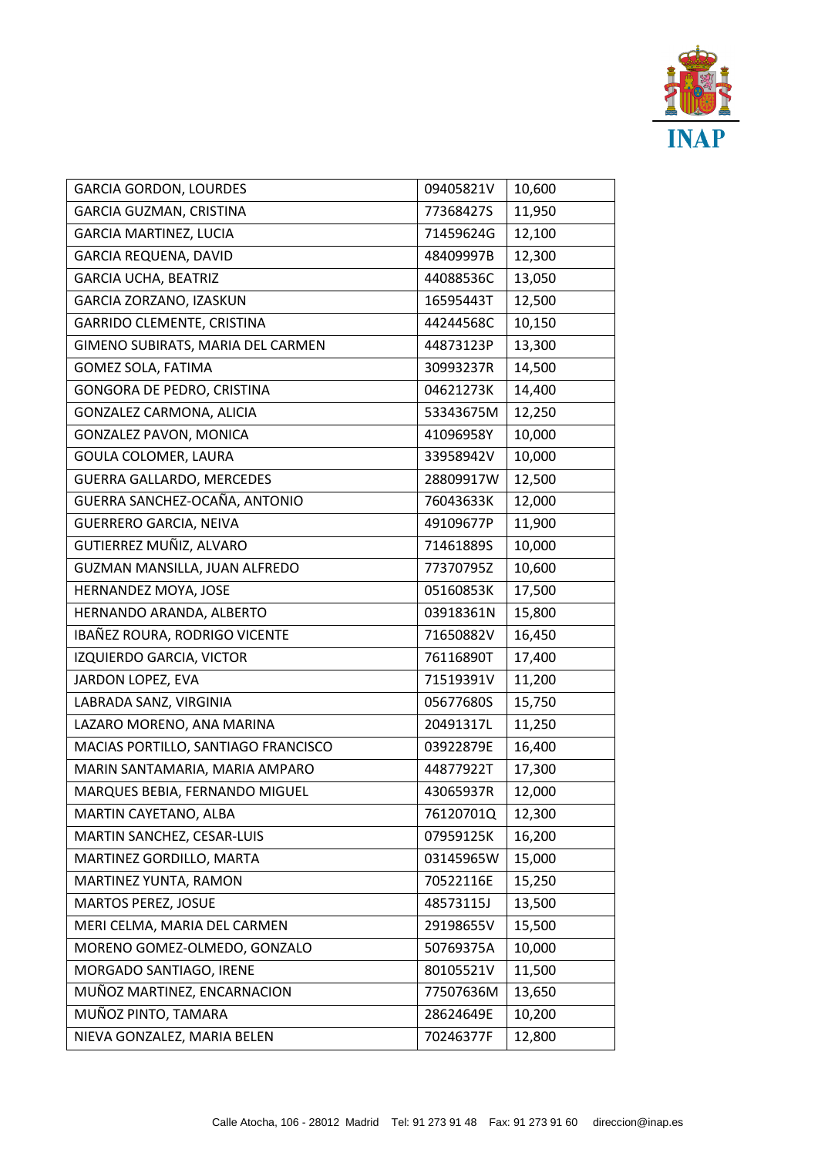

|  | <b>GARCIA GORDON, LOURDES</b>       | 09405821V | 10,600 |
|--|-------------------------------------|-----------|--------|
|  | GARCIA GUZMAN, CRISTINA             | 77368427S | 11,950 |
|  | <b>GARCIA MARTINEZ, LUCIA</b>       | 71459624G | 12,100 |
|  | <b>GARCIA REQUENA, DAVID</b>        | 48409997B | 12,300 |
|  | <b>GARCIA UCHA, BEATRIZ</b>         | 44088536C | 13,050 |
|  | GARCIA ZORZANO, IZASKUN             | 16595443T | 12,500 |
|  | GARRIDO CLEMENTE, CRISTINA          | 44244568C | 10,150 |
|  | GIMENO SUBIRATS, MARIA DEL CARMEN   | 44873123P | 13,300 |
|  | GOMEZ SOLA, FATIMA                  | 30993237R | 14,500 |
|  | GONGORA DE PEDRO, CRISTINA          | 04621273K | 14,400 |
|  | GONZALEZ CARMONA, ALICIA            | 53343675M | 12,250 |
|  | <b>GONZALEZ PAVON, MONICA</b>       | 41096958Y | 10,000 |
|  | GOULA COLOMER, LAURA                | 33958942V | 10,000 |
|  | <b>GUERRA GALLARDO, MERCEDES</b>    | 28809917W | 12,500 |
|  | GUERRA SANCHEZ-OCAÑA, ANTONIO       | 76043633K | 12,000 |
|  | <b>GUERRERO GARCIA, NEIVA</b>       | 49109677P | 11,900 |
|  | GUTIERREZ MUÑIZ, ALVARO             | 71461889S | 10,000 |
|  | GUZMAN MANSILLA, JUAN ALFREDO       | 77370795Z | 10,600 |
|  | HERNANDEZ MOYA, JOSE                | 05160853K | 17,500 |
|  | HERNANDO ARANDA, ALBERTO            | 03918361N | 15,800 |
|  | IBAÑEZ ROURA, RODRIGO VICENTE       | 71650882V | 16,450 |
|  | IZQUIERDO GARCIA, VICTOR            | 76116890T | 17,400 |
|  | JARDON LOPEZ, EVA                   | 71519391V | 11,200 |
|  | LABRADA SANZ, VIRGINIA              | 05677680S | 15,750 |
|  | LAZARO MORENO, ANA MARINA           | 20491317L | 11,250 |
|  | MACIAS PORTILLO, SANTIAGO FRANCISCO | 03922879E | 16,400 |
|  | MARIN SANTAMARIA, MARIA AMPARO      | 44877922T | 17,300 |
|  | MARQUES BEBIA, FERNANDO MIGUEL      | 43065937R | 12,000 |
|  | MARTIN CAYETANO, ALBA               | 76120701Q | 12,300 |
|  | MARTIN SANCHEZ, CESAR-LUIS          | 07959125K | 16,200 |
|  | MARTINEZ GORDILLO, MARTA            | 03145965W | 15,000 |
|  | MARTINEZ YUNTA, RAMON               | 70522116E | 15,250 |
|  | MARTOS PEREZ, JOSUE                 | 48573115J | 13,500 |
|  | MERI CELMA, MARIA DEL CARMEN        | 29198655V | 15,500 |
|  | MORENO GOMEZ-OLMEDO, GONZALO        | 50769375A | 10,000 |
|  | MORGADO SANTIAGO, IRENE             | 80105521V | 11,500 |
|  | MUÑOZ MARTINEZ, ENCARNACION         | 77507636M | 13,650 |
|  | MUÑOZ PINTO, TAMARA                 | 28624649E | 10,200 |
|  | NIEVA GONZALEZ, MARIA BELEN         | 70246377F | 12,800 |
|  |                                     |           |        |